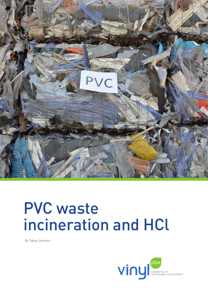

# PVC waste incineration and HCl

By Tobias Johnsen

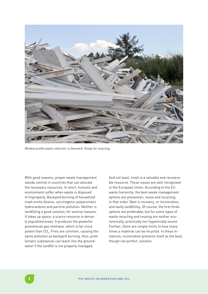

*Window profile waste collected in Denmark. Ready for recycling.*

With good reasons, proper waste management stands central in countries that can allocate the necessary resources. In short, humans and environment suffer when waste is disposed of improperly. Backyard burning of household trash emits dioxins, carcinogenic polyaromatic hydrocarbons and particle pollution. Neither is landfilling a good solution, for several reasons. It takes up space; a scarce resource in densely populated areas. It produces the powerful greenhouse gas methane, which is far more potent than CO<sub>2</sub>. Fires are common, causing the same pollution as backyard burning. Also, problematic substances can leach into the groundwater if the landfill is not properly managed.

And not least, trash is a valuable and recoverable resource. These issues are well recognized in the European Union. According to the EU waste hierarchy, the best waste management options are prevention, reuse and recycling, in that order. Next is recovery, or incineration, and lastly landfilling. Of course, the first three options are preferable, but for some types of waste recycling and reusing are neither economically, practically nor hygienically sound. Further, there are simply limits to how many times a material can be recycled. In these instances, incineration presents itself as the best, though not perfect, solution.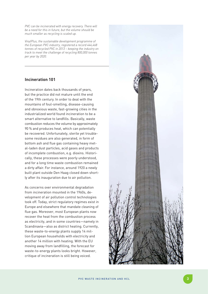*PVC can be incinerated with energy recovery. There will be a need for this in future, but the volume should be much smaller as recycling is scaled up.* 

*VinylPlus, the sustainable development programme of the European PVC industry, registered a record 444,468 tonnes of recycled PVC in 2013 – keeping the industry on track to meet the challenge of recycling 800,000 tonnes per year by 2020.*

# **Incineration 101**

Incineration dates back thousands of years, but the practice did not mature until the end of the 19th century. In order to deal with the mountains of foul-smelling, disease-causing and obnoxious waste, fast-growing cities in the industrialized world found incineration to be a smart alternative to landfills. Basically, waste combustion reduces the volume by approximately 90 % and produces heat, which can potentially be recovered. Unfortunately, sterile yet trouble some residues are also generated, in form of bottom ash and flue gas containing heavy met al-laden dust particles, acid gases and products of incomplete combustion, e.g. dioxins. Histori cally, these processes were poorly understood, and for a long time waste combustion remained a dirty affair. For instance, around 1920 a newly built plant outside Den Haag closed down short ly after its inauguration due to air pollution.

As concerns over environmental degradation from incineration mounted in the 1960s, de velopment of air pollution control technologies took off. Today, strict regulatory regimes exist in Europe and elsewhere that mandate cleaning of flue gas. Moreover, most European plants now recover the heat from the combustion process as electricity, and in some countries—namely in Scandinavia—also as district heating. Currently, these waste-to-energy plants supply 14 mil lion European households with electricity and another 14 million with heating. With the EU moving away from landfilling, the forecast for waste-to-energy plants looks bright. However, critique of incineration is still being voiced.

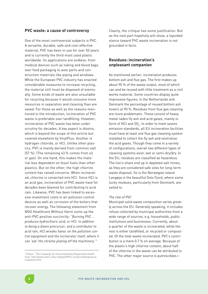### **PVC waste: a cause of controversy**

One of the most controversial subjects is PVC. A versatile, durable, safe and cost-effective material, PVC has been in use for over 50 years and is currently the third most used plastic worldwide. Its applications are endless: from medical devices such as tubing and blood bags over food packaging to auto parts and construction materials like piping and windows. While the European PVC industry has enacted considerable measures to increase recycling, the material still must be disposed of eventually. Some kinds of waste are also unsuitable for recycling because it would consume more resources in separation and cleaning than are saved. For these as well as the reasons mentioned in the introduction, incineration of PVC waste is preferable over landfilling. However, incineration of PVC waste has been under scrutiny for decades. A key aspect is dioxins, which is beyond the scope of this article but covered elsewhere by VinylPlus. Another is hydrogen chloride, or HCl. Unlike other plastics, PVC is mainly derived from common salt (57 %). (The remaining 43 % comes from oil or gas). On one hand, this makes the material less dependent on fossil fuels than other plastics. But on the other, the high chlorine content has raised concerns. When incinerated, chlorine is converted into HCl. Since HCl is an acid gas, incineration of PVC waste have for decades been blamed for contributing to acid rain. Likewise, PVC has been linked to excessive investment costs in air pollution control devices as well as corrosion of the boilers that recover energy. The following statement from NGO Healthcare Without Harm sums up the anti-PVC position succinctly: *"Burning PVC … produces hydrochloric acid, or HCl. In addition to being a dioxin precursor, and a contributor to acid rain, HCl wreaks havoc on the pollution control equipment and the incinerator itself, where it can 'eat' the chrome plating off the machinery."*<sup>1</sup>

Clearly, the critique has some justification. But as the next part hopefully will show, a lopsided stance toward PVC waste incineration is not grounded in facts.

## **Residues: incineration's unpleasant companion**

As mentioned earlier, incineration produces bottom ash and flue gas. The first makes up about 90 % of the waste output, most of which can and be reused with little treatment as a civil works material. Some countries display quite impressive figures: in the Netherlands and Denmark the percentage of reused bottom ash hovers at 90 %. Residues from flue gas cleaning are more problematic. These consist of heavy metal-laden fly ash and acid gases, mainly in form of HCl and  $\mathsf{SO}_2$ . In order to meet severe emission standards, all EU incineration facilities must have at least one flue gas cleaning system installed to collect the fly ash and neutralise the acid gases. Though they come in a variety of configurations, overall two different types of cleaning systems exist: wet or semi-dry/dry. In the EU, residues are classified as hazardous. The lion's share end up in depleted salt mines, as they are considered safe sites for long-term waste disposal. So is the Norwegian island Langøya in the beautiful Oslo Fjord, where some lucky residues, particularly from Denmark, are sailed to.

## *The role of PVC*

Municipal solid waste composition varies greatly across the EU. Generally speaking, it includes refuse collected by municipal authorities from a wide range of sources, e.g. households, public institutions and businesses. Currently, about a quarter of the waste is incinerated, while the rest is either landfilled, or recycled or composted. Of the total waste incinerated, PVC's contribution is a mere 0.7 % on average. Because of the plastic's high chlorine content, about half of the chlorine in the waste can be attributed to PVC. The other major source is putrescibles—

<sup>1</sup> Patton, "The Campaign for Environmentally Responsible Health Care" http://www.chem.unep.ch/pops/POPs\_Inc/proceedings/slovenia/patton.html.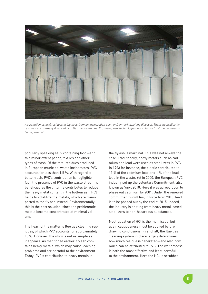

*Air pollution control residues in big bags from an incineration plant in Denmark awaiting disposal. These neutralisation residues are normally disposed of in German saltmines. Promising new technologies will in future limit the residues to be disposed of.*

popularly speaking salt- containing food—and to a minor extent paper, textiles and other types of trash. Of the total residues produced in European municipal waste incinerators, PVC accounts for less than 1.5 %. With regard to bottom ash, PVC's contribution is negligible. In fact, the presence of PVC in the waste stream is beneficial, as the chlorine contributes to reduce the heavy metal content in the bottom ash. HCl helps to volatilize the metals, which are transported to the fly ash instead. Environmentally, this is the best solution, since the problematic metals become concentrated at minimal volume.

The heart of the matter is flue gas cleaning residues, of which PVC accounts for approximately 10 %. However, the story is not as simple as it appears. As mentioned earlier, fly ash contains heavy metals, which may cause leaching problems and are harmful to the environment. Today, PVC's contribution to heavy metals in

the fly ash is marginal. This was not always the case. Traditionally, heavy metals such as cadmium and lead were used as stabilizers in PVC. In 1993 for instance, the plastic contributed to 11 % of the cadmium load and 1 % of the lead load in the waste. Yet in 2000, the European PVC industry set up the Voluntary Commitment, also known as Vinyl 2010. Here it was agreed upon to phase out cadmium by 2001. Under the renewed commitment VinylPlus, in force from 2010, lead is to be phased out by the end of 2015. Indeed, the industry is shifting from heavy metal-based stabilizers to non-hazardous substances.

Neutralisation of HCl is the main issue, but again cautiousness must be applied before drawing conclusions. First of all, the flue gas cleaning system in place largely determines how much residue is generated—and also how much can be attributed to PVC. The wet process is both the most effective and least harmful to the environment. Here the HCl is scrubbed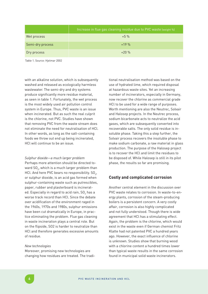|                  | Increase in flue gas cleaning residue due to PVC waste (weight %) |
|------------------|-------------------------------------------------------------------|
| Wet process      | $+5\%$                                                            |
| Semi-dry process | $+19%$                                                            |
| Dry process      | $+20%$                                                            |

Table 1. Source: Hjelmar 2002

with an alkaline solution, which is subsequently washed and released as ecologically harmless wastewater. The semi-dry and dry systems produce significantly more residue material, as seen in table 1. Fortunately, the wet process is the most widely used air pollution control system in Europe. Thus, PVC waste is an issue when incinerated. But as such the real culprit is the chlorine, not PVC. Studies have shown that removing PVC from the waste stream does not eliminate the need for neutralisation of HCl. In other words, as long as the salt-containing foods we throw out end up being incinerated, HCl will continue to be an issue.

#### *Sulphur dioxide—a much larger problem*

Perhaps more attention should be directed toward SO $_{\textrm{\tiny{2}}}$ , which is a much larger problem than HCl. And here PVC bears no responsibility.  $SO_2$ , or sulphur dioxide, is an acid gas formed when sulphur-containing waste such as putrescibles, paper, rubber and plasterboard is incinerated. Especially in regard to acid rain, SO $_{\rm 2}$  has a worse track record than HCl. Since the debate over acidification of the environment raged in the 1960s, 1970s and 1980s, sulphur emissions have been cut dramatically in Europe, in practice eliminating the problem. Flue gas cleaning in waste incineration plays a central role. But on the flipside, SO2 is harder to neutralize than HCl and therefore generates excessive amounts of residue.

#### *New technologies*

Moreover, promising new technologies are changing how residues are treated. The traditional neutralisation method was based on the use of hydrated lime, which required disposal at hazardous waste sites. Yet an increasing number of incinerators, especially in Germany, now recover the chlorine as commercial grade HCl to be used for a wide range of purposes. Worth mentioning are also the Neutrec, Solvair and Halosep projects. In the Neutrec process, sodium bicarbonate acts to neutralize the acid gases, which are subsequently converted into recoverable salts. The only solid residue is insoluble phase. Taking this a step further, the Solvair process recovers the insoluble phase to make sodium carbonate, a raw material in glass production. The purpose of the Halosep project is to recover the HCl and limit the residues to be disposed of. While Halosep is still in its pilot phase, the results so far are promising.

## **Costly and complicated corrosion**

Another central element in the discussion over PVC waste relates to corrosion. In waste-to-energy plants, corrosion of the steam-producing boilers is a persistent concern. A very costly affair, corrosion is also highly complicated and not fully understood. Though there is wide agreement that HCl has a stimulating effect. Again, the problem is the chlorine, which would exist in the waste even if German chemist Fritz Klatte had not patented PVC a hundred years ago. However, the exact influence of chlorine is unknown. Studies show that burning wood with a chlorine content a hundred times lower than typical waste results in the same corrosion found in municipal solid waste incinerators.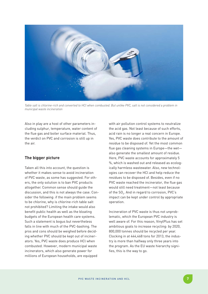

*Table salt is chlorine-rich and converted to HCl when combusted. But unlike PVC, salt is not considered a problem in municipal waste incineration*

Also in play are a host of other parameters including sulphur, temperature, water content of the flue gas and boiler surface material. Thus, the verdict on PVC and corrosion is still up in the air.

# **The bigger picture**

Taken all this into account, the question is whether it makes sense to avoid incineration of PVC waste, as some has suggested. For others, the only solution is to ban PVC products altogether. Common sense should guide the discussion, and this is not always the case. Consider the following: if the main problem seems to be chlorine, why is chlorine-rich table salt not prohibited? Limiting the intake would also benefit public health as well as the bloating budgets of the European health care systems. Such a statement is bogus but nevertheless falls in line with much of the PVC-bashing. The pros and cons should be weighed before deciding whether PVC should be kept out of incinerators. Yes, PVC waste does produce HCl when combusted. However, modern municipal waste incinerators, which also generate power for millions of European households, are equipped

with air pollution control systems to neutralize the acid gas. Not least because of such efforts, acid rain is no longer a real concern in Europe. Yes, PVC waste does contribute to the amount of residue to be disposed of. Yet the most common flue gas cleaning systems in Europe—the wet also generate the smallest amount of residue. Here, PVC waste accounts for approximately 5 %, which is washed out and released as ecologically harmless wastewater. Also, new technologies can recover the HCl and help reduce the residues to be disposed of. Besides, even if no PVC waste reached the incinerator, the flue gas would still need treatment—not least because of the  $\mathsf{SO}_2$ . And in regard to corrosion, PVC's impact can be kept under control by appropriate operation.

Incineration of PVC waste is thus not unproblematic, which the European PVC industry is well aware of. For this reason, VinylPlus has set ambitious goals to increase recycling: by 2020, 800,000 tonnes should be recycled per year. Clocking in at 444,468 tons for 2013, the industry is more than halfway only three years into the program. As the EU waste hierarchy signifies, this is the way to go.